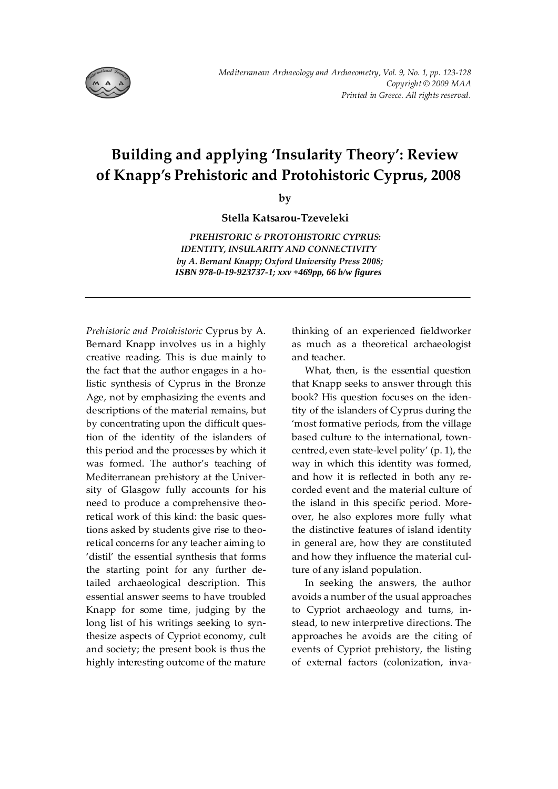

## **Building and applying 'Insularity Theory': Review of Knapp's Prehistoric and Protohistoric Cyprus, 2008**

**by** 

**Stella Katsarou-Tzeveleki**

*PREHISTORIC & PROTOHISTORIC CYPRUS: IDENTITY, INSULARITY AND CONNECTIVITY by A. Bernard Knapp; Oxford University Press 2008; ISBN 978-0-19-923737-1; xxv +469pp, 66 b/w figures*

*Prehistoric and Protohistoric* Cyprus by A. Bernard Knapp involves us in a highly creative reading. This is due mainly to the fact that the author engages in a holistic synthesis of Cyprus in the Bronze Age, not by emphasizing the events and descriptions of the material remains, but by concentrating upon the difficult question of the identity of the islanders of this period and the processes by which it was formed. The author's teaching of Mediterranean prehistory at the University of Glasgow fully accounts for his need to produce a comprehensive theoretical work of this kind: the basic questions asked by students give rise to theoretical concerns for any teacher aiming to 'distil' the essential synthesis that forms the starting point for any further detailed archaeological description. This essential answer seems to have troubled Knapp for some time, judging by the long list of his writings seeking to synthesize aspects of Cypriot economy, cult and society; the present book is thus the highly interesting outcome of the mature

thinking of an experienced fieldworker as much as a theoretical archaeologist and teacher.

What, then, is the essential question that Knapp seeks to answer through this book? His question focuses on the identity of the islanders of Cyprus during the 'most formative periods, from the village based culture to the international, towncentred, even state-level polity' (p. 1), the way in which this identity was formed, and how it is reflected in both any recorded event and the material culture of the island in this specific period. Moreover, he also explores more fully what the distinctive features of island identity in general are, how they are constituted and how they influence the material culture of any island population.

In seeking the answers, the author avoids a number of the usual approaches to Cypriot archaeology and turns, instead, to new interpretive directions. The approaches he avoids are the citing of events of Cypriot prehistory, the listing of external factors (colonization, inva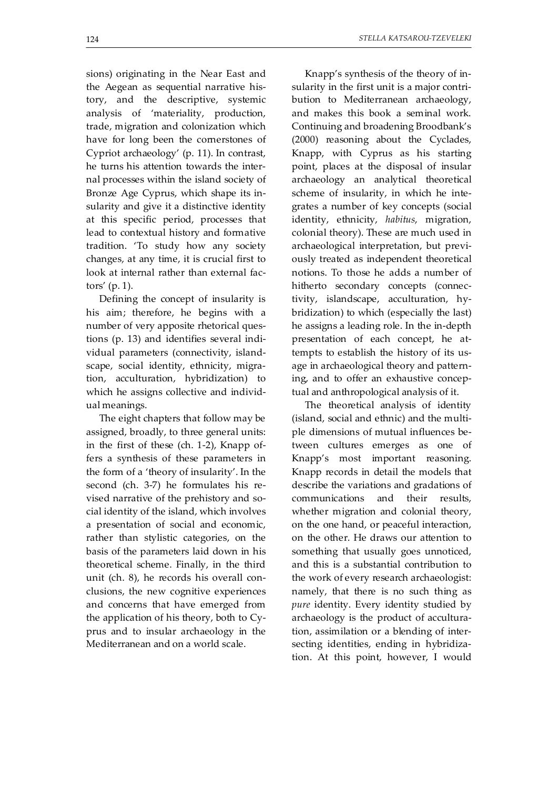sions) originating in the Near East and the Aegean as sequential narrative history, and the descriptive, systemic analysis of 'materiality, production, trade, migration and colonization which have for long been the cornerstones of Cypriot archaeology' (p. 11). In contrast, he turns his attention towards the internal processes within the island society of Bronze Age Cyprus, which shape its insularity and give it a distinctive identity at this specific period, processes that lead to contextual history and formative tradition. 'To study how any society changes, at any time, it is crucial first to look at internal rather than external factors' (p. 1).

Defining the concept of insularity is his aim; therefore, he begins with a number of very apposite rhetorical questions (p. 13) and identifies several individual parameters (connectivity, islandscape, social identity, ethnicity, migration, acculturation, hybridization) to which he assigns collective and individual meanings.

The eight chapters that follow may be assigned, broadly, to three general units: in the first of these (ch. 1-2), Knapp offers a synthesis of these parameters in the form of a 'theory of insularity'. In the second (ch. 3-7) he formulates his revised narrative of the prehistory and social identity of the island, which involves a presentation of social and economic, rather than stylistic categories, on the basis of the parameters laid down in his theoretical scheme. Finally, in the third unit (ch. 8), he records his overall conclusions, the new cognitive experiences and concerns that have emerged from the application of his theory, both to Cyprus and to insular archaeology in the Mediterranean and on a world scale.

Knapp's synthesis of the theory of insularity in the first unit is a major contribution to Mediterranean archaeology, and makes this book a seminal work. Continuing and broadening Broodbank's (2000) reasoning about the Cyclades, Knapp, with Cyprus as his starting point, places at the disposal of insular archaeology an analytical theoretical scheme of insularity, in which he integrates a number of key concepts (social identity, ethnicity, *habitus*, migration, colonial theory). These are much used in archaeological interpretation, but previously treated as independent theoretical notions. To those he adds a number of hitherto secondary concepts (connectivity, islandscape, acculturation, hybridization) to which (especially the last) he assigns a leading role. In the in-depth presentation of each concept, he attempts to establish the history of its usage in archaeological theory and patterning, and to offer an exhaustive conceptual and anthropological analysis of it.

The theoretical analysis of identity (island, social and ethnic) and the multiple dimensions of mutual influences between cultures emerges as one of Knapp's most important reasoning. Knapp records in detail the models that describe the variations and gradations of communications and their results, whether migration and colonial theory, on the one hand, or peaceful interaction, on the other. He draws our attention to something that usually goes unnoticed, and this is a substantial contribution to the work of every research archaeologist: namely, that there is no such thing as *pure* identity. Every identity studied by archaeology is the product of acculturation, assimilation or a blending of intersecting identities, ending in hybridization. At this point, however, I would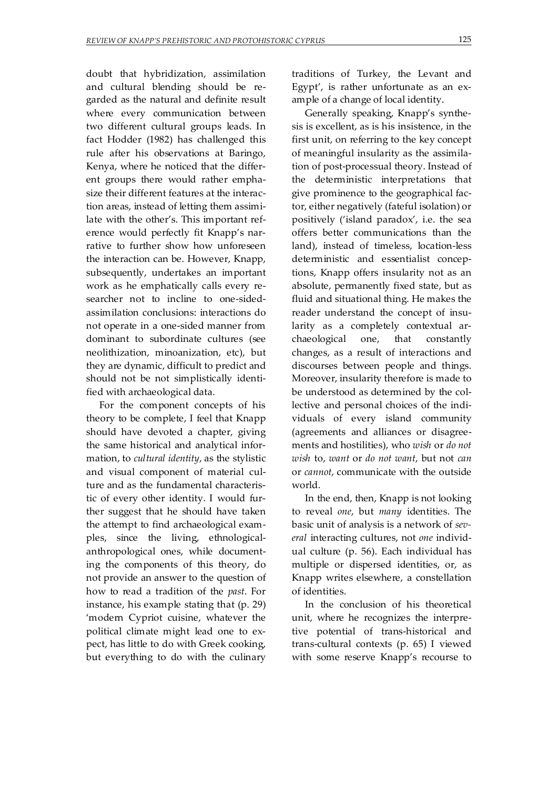doubt that hybridization, assimilation and cultural blending should be regarded as the natural and definite result where every communication between two different cultural groups leads. In fact Hodder (1982) has challenged this rule after his observations at Baringo, Kenya, where he noticed that the different groups there would rather emphasize their different features at the interaction areas, instead of letting them assimilate with the other's. This important reference would perfectly fit Knapp's narrative to further show how unforeseen the interaction can be. However, Knapp, subsequently, undertakes an important work as he emphatically calls every researcher not to incline to one-sidedassimilation conclusions: interactions do not operate in a one-sided manner from dominant to subordinate cultures (see neolithization, minoanization, etc), but they are dynamic, difficult to predict and should not be not simplistically identified with archaeological data.

For the component concepts of his theory to be complete, I feel that Knapp should have devoted a chapter, giving the same historical and analytical information, to *cultural identity*, as the stylistic and visual component of material culture and as the fundamental characteristic of every other identity. I would further suggest that he should have taken the attempt to find archaeological examples, since the living, ethnologicalanthropological ones, while documenting the components of this theory, do not provide an answer to the question of how to read a tradition of the *past*. For instance, his example stating that (p. 29) 'modern Cypriot cuisine, whatever the political climate might lead one to expect, has little to do with Greek cooking, but everything to do with the culinary traditions of Turkey, the Levant and Egypt', is rather unfortunate as an example of a change of local identity.

Generally speaking, Knapp's synthesis is excellent, as is his insistence, in the first unit, on referring to the key concept of meaningful insularity as the assimilation of post-processual theory. Instead of the deterministic interpretations that give prominence to the geographical factor, either negatively (fateful isolation) or positively ('island paradox', i.e. the sea offers better communications than the land), instead of timeless, location-less deterministic and essentialist conceptions, Knapp offers insularity not as an absolute, permanently fixed state, but as fluid and situational thing. He makes the reader understand the concept of insularity as a completely contextual archaeological one, that constantly changes, as a result of interactions and discourses between people and things. Moreover, insularity therefore is made to be understood as determined by the collective and personal choices of the individuals of every island community (agreements and alliances or disagreements and hostilities), who *wish* or *do not wish* to, *want* or *do not want*, but not *can* or *cannot*, communicate with the outside world.

In the end, then, Knapp is not looking to reveal *one*, but *many* identities. The basic unit of analysis is a network of *several* interacting cultures, not *one* individual culture (p. 56). Each individual has multiple or dispersed identities, or, as Knapp writes elsewhere, a constellation of identities.

In the conclusion of his theoretical unit, where he recognizes the interpretive potential of trans-historical and trans-cultural contexts (p. 65) I viewed with some reserve Knapp's recourse to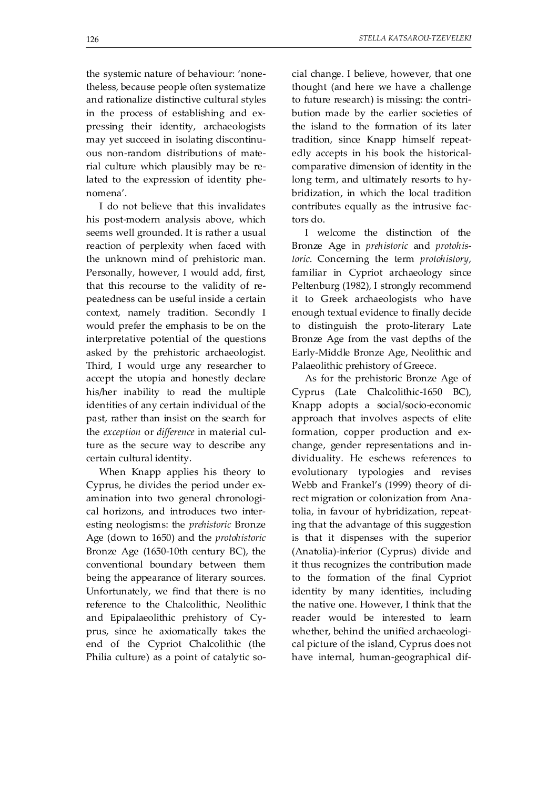the systemic nature of behaviour: 'nonetheless, because people often systematize and rationalize distinctive cultural styles in the process of establishing and expressing their identity, archaeologists may yet succeed in isolating discontinuous non-random distributions of material culture which plausibly may be related to the expression of identity phenomena'.

I do not believe that this invalidates his post-modern analysis above, which seems well grounded. It is rather a usual reaction of perplexity when faced with the unknown mind of prehistoric man. Personally, however, I would add, first, that this recourse to the validity of repeatedness can be useful inside a certain context, namely tradition. Secondly I would prefer the emphasis to be on the interpretative potential of the questions asked by the prehistoric archaeologist. Third, I would urge any researcher to accept the utopia and honestly declare his/her inability to read the multiple identities of any certain individual of the past, rather than insist on the search for the *exception* or *difference* in material culture as the secure way to describe any certain cultural identity.

When Knapp applies his theory to Cyprus, he divides the period under examination into two general chronological horizons, and introduces two interesting neologisms: the *prehistoric* Bronze Age (down to 1650) and the *protohistoric* Bronze Age (1650-10th century BC), the conventional boundary between them being the appearance of literary sources. Unfortunately, we find that there is no reference to the Chalcolithic, Neolithic and Epipalaeolithic prehistory of Cyprus, since he axiomatically takes the end of the Cypriot Chalcolithic (the Philia culture) as a point of catalytic social change. I believe, however, that one thought (and here we have a challenge to future research) is missing: the contribution made by the earlier societies of the island to the formation of its later tradition, since Knapp himself repeatedly accepts in his book the historicalcomparative dimension of identity in the long term, and ultimately resorts to hybridization, in which the local tradition contributes equally as the intrusive factors do.

I welcome the distinction of the Bronze Age in *prehistoric* and *protohistoric*. Concerning the term *protohistory*, familiar in Cypriot archaeology since Peltenburg (1982), I strongly recommend it to Greek archaeologists who have enough textual evidence to finally decide to distinguish the proto-literary Late Bronze Age from the vast depths of the Early-Middle Bronze Age, Neolithic and Palaeolithic prehistory of Greece.

As for the prehistoric Bronze Age of Cyprus (Late Chalcolithic-1650 BC), Knapp adopts a social/socio-economic approach that involves aspects of elite formation, copper production and exchange, gender representations and individuality. He eschews references to evolutionary typologies and revises Webb and Frankel's (1999) theory of direct migration or colonization from Anatolia, in favour of hybridization, repeating that the advantage of this suggestion is that it dispenses with the superior (Anatolia)-inferior (Cyprus) divide and it thus recognizes the contribution made to the formation of the final Cypriot identity by many identities, including the native one. However, I think that the reader would be interested to learn whether, behind the unified archaeological picture of the island, Cyprus does not have internal, human-geographical dif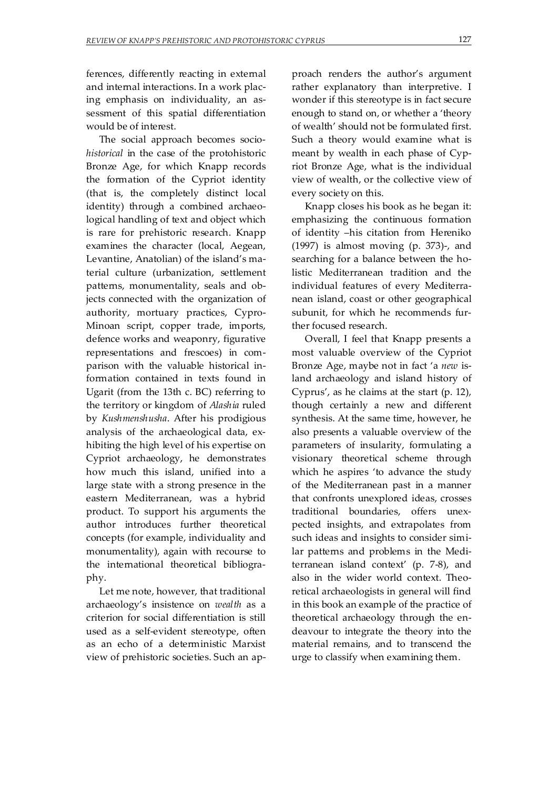ferences, differently reacting in external and internal interactions. In a work placing emphasis on individuality, an assessment of this spatial differentiation would be of interest.

The social approach becomes socio*historical* in the case of the protohistoric Bronze Age, for which Knapp records the formation of the Cypriot identity (that is, the completely distinct local identity) through a combined archaeological handling of text and object which is rare for prehistoric research. Knapp examines the character (local, Aegean, Levantine, Anatolian) of the island's material culture (urbanization, settlement patterns, monumentality, seals and objects connected with the organization of authority, mortuary practices, Cypro-Minoan script, copper trade, imports, defence works and weaponry, figurative representations and frescoes) in comparison with the valuable historical information contained in texts found in Ugarit (from the 13th c. BC) referring to the territory or kingdom of *Alashia* ruled by *Kushmenshusha*. After his prodigious analysis of the archaeological data, exhibiting the high level of his expertise on Cypriot archaeology, he demonstrates how much this island, unified into a large state with a strong presence in the eastern Mediterranean, was a hybrid product. To support his arguments the author introduces further theoretical concepts (for example, individuality and monumentality), again with recourse to the international theoretical bibliography.

Let me note, however, that traditional archaeology's insistence on *wealth* as a criterion for social differentiation is still used as a self-evident stereotype, often as an echo of a deterministic Marxist view of prehistoric societies. Such an approach renders the author's argument rather explanatory than interpretive. I wonder if this stereotype is in fact secure enough to stand on, or whether a 'theory of wealth' should not be formulated first. Such a theory would examine what is meant by wealth in each phase of Cypriot Bronze Age, what is the individual view of wealth, or the collective view of every society on this.

Knapp closes his book as he began it: emphasizing the continuous formation of identity –his citation from Hereniko (1997) is almost moving (p. 373)-, and searching for a balance between the holistic Mediterranean tradition and the individual features of every Mediterranean island, coast or other geographical subunit, for which he recommends further focused research.

Overall, I feel that Knapp presents a most valuable overview of the Cypriot Bronze Age, maybe not in fact 'a *new* island archaeology and island history of Cyprus', as he claims at the start (p. 12), though certainly a new and different synthesis. At the same time, however, he also presents a valuable overview of the parameters of insularity, formulating a visionary theoretical scheme through which he aspires 'to advance the study of the Mediterranean past in a manner that confronts unexplored ideas, crosses traditional boundaries, offers unexpected insights, and extrapolates from such ideas and insights to consider similar patterns and problems in the Mediterranean island context' (p. 7-8), and also in the wider world context. Theoretical archaeologists in general will find in this book an example of the practice of theoretical archaeology through the endeavour to integrate the theory into the material remains, and to transcend the urge to classify when examining them.